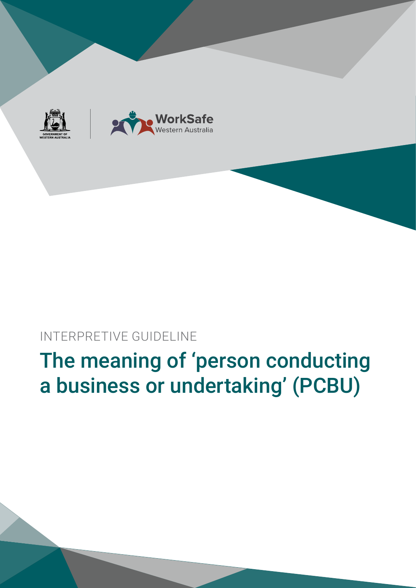# The meaning of 'person conducting a business or undertaking' (PCBU)

INTERPRETIVE GUIDELINE



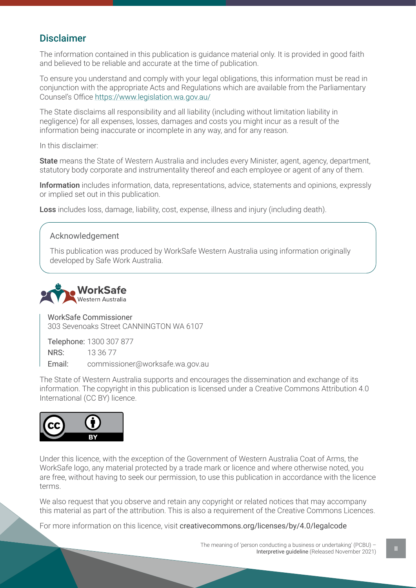# Disclaimer

The information contained in this publication is guidance material only. It is provided in good faith and believed to be reliable and accurate at the time of publication.

To ensure you understand and comply with your legal obligations, this information must be read in conjunction with the appropriate Acts and Regulations which are available from the Parliamentary Counsel's Office https://www.legislation.wa.gov.au/

The State disclaims all responsibility and all liability (including without limitation liability in negligence) for all expenses, losses, damages and costs you might incur as a result of the information being inaccurate or incomplete in any way, and for any reason.

In this disclaimer:

State means the State of Western Australia and includes every Minister, agent, agency, department, statutory body corporate and instrumentality thereof and each employee or agent of any of them.

Information includes information, data, representations, advice, statements and opinions, expressly or implied set out in this publication.

Loss includes loss, damage, liability, cost, expense, illness and injury (including death).

### Acknowledgement

This publication was produced by WorkSafe Western Australia using information originally developed by Safe Work Australia.



WorkSafe Commissioner 303 Sevenoaks Street CANNINGTON WA 6107

Telephone: 1300 307 877 NRS: 13 36 77 Email: commissioner@worksafe.wa.gov.au

The State of Western Australia supports and encourages the dissemination and exchange of its information. The copyright in this publication is licensed under a Creative Commons Attribution 4.0 International (CC BY) licence.



Under this licence, with the exception of the Government of Western Australia Coat of Arms, the WorkSafe logo, any material protected by a trade mark or licence and where otherwise noted, you are free, without having to seek our permission, to use this publication in accordance with the licence terms.

We also request that you observe and retain any copyright or related notices that may accompany this material as part of the attribution. This is also a requirement of the Creative Commons Licences.

For more information on this licence, visit creativecommons.org/licenses/by/4.0/legalcode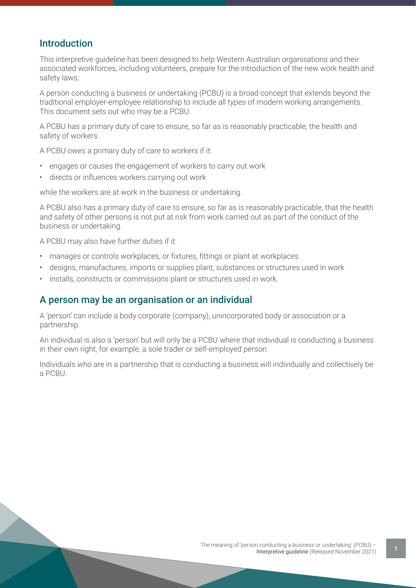# Introduction

This interpretive guideline has been designed to help Western Australian organisations and their associated workforces, including volunteers, prepare for the introduction of the new work health and safety laws.

A person conducting a business or undertaking (PCBU) is a broad concept that extends beyond the traditional employer-employee relationship to include all types of modern working arrangements. This document sets out who may be a PCBU.

A PCBU has a primary duty of care to ensure, so far as is reasonably practicable, the health and safety of workers.

A PCBU owes a primary duty of care to workers if it:

- engages or causes the engagement of workers to carry out work
- directs or influences workers carrying out work

while the workers are at work in the business or undertaking.

A PCBU also has a primary duty of care to ensure, so far as is reasonably practicable, that the health and safety of other persons is not put at risk from work carried out as part of the conduct of the business or undertaking.

A PCBU may also have further duties if it:

- manages or controls workplaces, or fixtures, fittings or plant at workplaces
- designs, manufactures, imports or supplies plant, substances or structures used in work
- installs, constructs or commissions plant or structures used in work.

## A person may be an organisation or an individual

A 'person' can include a body corporate (company), unincorporated body or association or a partnership.

An individual is also a 'person' but will only be a PCBU where that individual is conducting a business in their own right, for example, a sole trader or self-employed person.

Individuals who are in a partnership that is conducting a business will individually and collectively be a PCBU.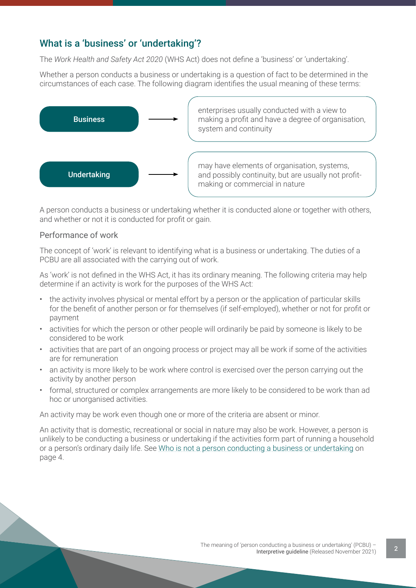# What is a 'business' or 'undertaking'?

The *Work Health and Safety Act 2020* (WHS Act) does not define a 'business' or 'undertaking'.

Whether a person conducts a business or undertaking is a question of fact to be determined in the circumstances of each case. The following diagram identifies the usual meaning of these terms:



A person conducts a business or undertaking whether it is conducted alone or together with others, and whether or not it is conducted for profit or gain.

#### Performance of work

The concept of 'work' is relevant to identifying what is a business or undertaking. The duties of a PCBU are all associated with the carrying out of work.

As 'work' is not defined in the WHS Act, it has its ordinary meaning. The following criteria may help determine if an activity is work for the purposes of the WHS Act:

- the activity involves physical or mental effort by a person or the application of particular skills for the benefit of another person or for themselves (if self-employed), whether or not for profit or payment
- activities for which the person or other people will ordinarily be paid by someone is likely to be considered to be work
- activities that are part of an ongoing process or project may all be work if some of the activities are for remuneration
- an activity is more likely to be work where control is exercised over the person carrying out the activity by another person
- formal, structured or complex arrangements are more likely to be considered to be work than ad hoc or unorganised activities.

An activity may be work even though one or more of the criteria are absent or minor.

An activity that is domestic, recreational or social in nature may also be work. However, a person is unlikely to be conducting a business or undertaking if the activities form part of running a household or a person's ordinary daily life. See Who is not a person conducting a business or undertaking on page 4.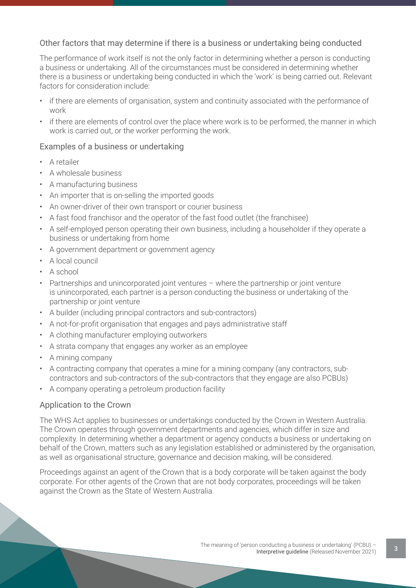### Other factors that may determine if there is a business or undertaking being conducted

The performance of work itself is not the only factor in determining whether a person is conducting a business or undertaking. All of the circumstances must be considered in determining whether there is a business or undertaking being conducted in which the 'work' is being carried out. Relevant factors for consideration include:

- if there are elements of organisation, system and continuity associated with the performance of work
- if there are elements of control over the place where work is to be performed, the manner in which work is carried out, or the worker performing the work.

#### Examples of a business or undertaking

- A retailer
- A wholesale business
- A manufacturing business
- An importer that is on-selling the imported goods
- An owner-driver of their own transport or courier business
- A fast food franchisor and the operator of the fast food outlet (the franchisee)
- A self-employed person operating their own business, including a householder if they operate a business or undertaking from home
- A government department or government agency
- A local council
- A school
- Partnerships and unincorporated joint ventures where the partnership or joint venture is unincorporated, each partner is a person conducting the business or undertaking of the partnership or joint venture
- A builder (including principal contractors and sub-contractors)
- A not-for-profit organisation that engages and pays administrative staff
- A clothing manufacturer employing outworkers
- A strata company that engages any worker as an employee
- A mining company
- A contracting company that operates a mine for a mining company (any contractors, subcontractors and sub-contractors of the sub-contractors that they engage are also PCBUs)
- A company operating a petroleum production facility

#### Application to the Crown

The WHS Act applies to businesses or undertakings conducted by the Crown in Western Australia. The Crown operates through government departments and agencies, which differ in size and complexity. In determining whether a department or agency conducts a business or undertaking on behalf of the Crown, matters such as any legislation established or administered by the organisation, as well as organisational structure, governance and decision making, will be considered.

Proceedings against an agent of the Crown that is a body corporate will be taken against the body corporate. For other agents of the Crown that are not body corporates, proceedings will be taken against the Crown as the State of Western Australia.